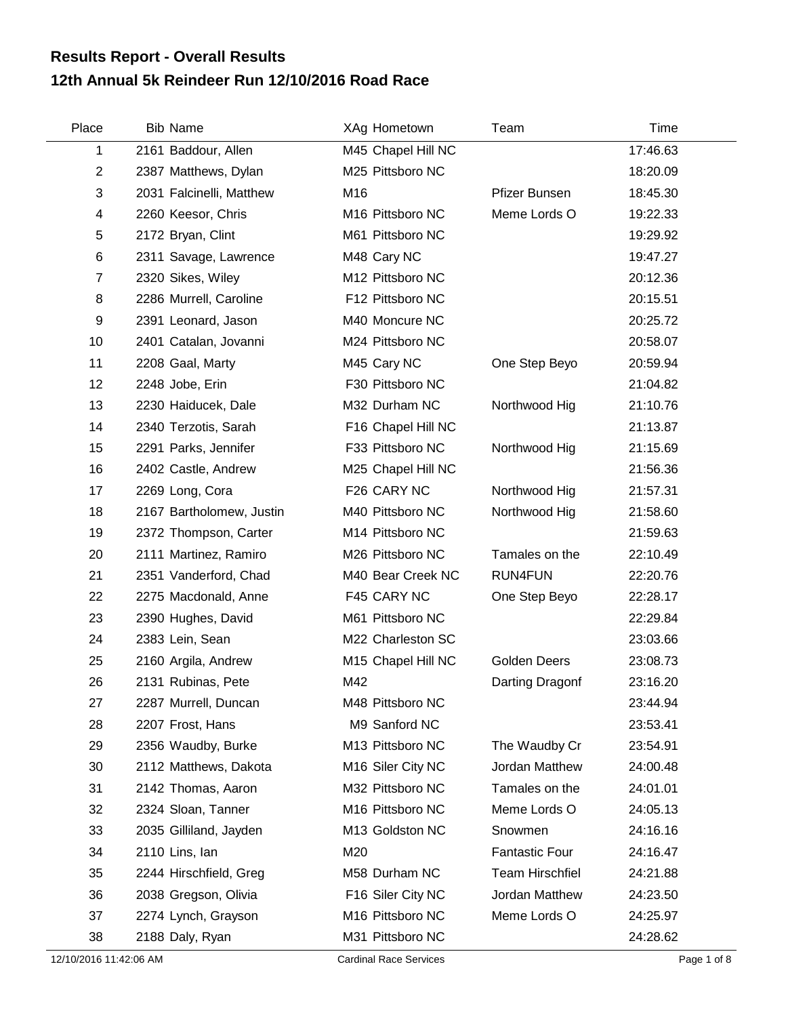## **12th Annual 5k Reindeer Run 12/10/2016 Road Race Results Report - Overall Results**

| Place          | <b>Bib Name</b>          | XAg Hometown       | Team                   | Time     |
|----------------|--------------------------|--------------------|------------------------|----------|
| 1              | 2161 Baddour, Allen      | M45 Chapel Hill NC |                        | 17:46.63 |
| $\overline{2}$ | 2387 Matthews, Dylan     | M25 Pittsboro NC   |                        | 18:20.09 |
| 3              | 2031 Falcinelli, Matthew | M16                | Pfizer Bunsen          | 18:45.30 |
| $\overline{4}$ | 2260 Keesor, Chris       | M16 Pittsboro NC   | Meme Lords O           | 19:22.33 |
| 5              | 2172 Bryan, Clint        | M61 Pittsboro NC   |                        | 19:29.92 |
| $\,6$          | 2311 Savage, Lawrence    | M48 Cary NC        |                        | 19:47.27 |
| $\overline{7}$ | 2320 Sikes, Wiley        | M12 Pittsboro NC   |                        | 20:12.36 |
| 8              | 2286 Murrell, Caroline   | F12 Pittsboro NC   |                        | 20:15.51 |
| 9              | 2391 Leonard, Jason      | M40 Moncure NC     |                        | 20:25.72 |
| 10             | 2401 Catalan, Jovanni    | M24 Pittsboro NC   |                        | 20:58.07 |
| 11             | 2208 Gaal, Marty         | M45 Cary NC        | One Step Beyo          | 20:59.94 |
| 12             | 2248 Jobe, Erin          | F30 Pittsboro NC   |                        | 21:04.82 |
| 13             | 2230 Haiducek, Dale      | M32 Durham NC      | Northwood Hig          | 21:10.76 |
| 14             | 2340 Terzotis, Sarah     | F16 Chapel Hill NC |                        | 21:13.87 |
| 15             | 2291 Parks, Jennifer     | F33 Pittsboro NC   | Northwood Hig          | 21:15.69 |
| 16             | 2402 Castle, Andrew      | M25 Chapel Hill NC |                        | 21:56.36 |
| 17             | 2269 Long, Cora          | F26 CARY NC        | Northwood Hig          | 21:57.31 |
| 18             | 2167 Bartholomew, Justin | M40 Pittsboro NC   | Northwood Hig          | 21:58.60 |
| 19             | 2372 Thompson, Carter    | M14 Pittsboro NC   |                        | 21:59.63 |
| 20             | 2111 Martinez, Ramiro    | M26 Pittsboro NC   | Tamales on the         | 22:10.49 |
| 21             | 2351 Vanderford, Chad    | M40 Bear Creek NC  | <b>RUN4FUN</b>         | 22:20.76 |
| 22             | 2275 Macdonald, Anne     | F45 CARY NC        | One Step Beyo          | 22:28.17 |
| 23             | 2390 Hughes, David       | M61 Pittsboro NC   |                        | 22:29.84 |
| 24             | 2383 Lein, Sean          | M22 Charleston SC  |                        | 23:03.66 |
| 25             | 2160 Argila, Andrew      | M15 Chapel Hill NC | <b>Golden Deers</b>    | 23:08.73 |
| 26             | 2131 Rubinas, Pete       | M42                | Darting Dragonf        | 23:16.20 |
| 27             | 2287 Murrell, Duncan     | M48 Pittsboro NC   |                        | 23:44.94 |
| 28             | 2207 Frost, Hans         | M9 Sanford NC      |                        | 23:53.41 |
| 29             | 2356 Waudby, Burke       | M13 Pittsboro NC   | The Waudby Cr          | 23:54.91 |
| 30             | 2112 Matthews, Dakota    | M16 Siler City NC  | Jordan Matthew         | 24:00.48 |
| 31             | 2142 Thomas, Aaron       | M32 Pittsboro NC   | Tamales on the         | 24:01.01 |
| 32             | 2324 Sloan, Tanner       | M16 Pittsboro NC   | Meme Lords O           | 24:05.13 |
| 33             | 2035 Gilliland, Jayden   | M13 Goldston NC    | Snowmen                | 24:16.16 |
| 34             | 2110 Lins, lan           | M20                | <b>Fantastic Four</b>  | 24:16.47 |
| 35             | 2244 Hirschfield, Greg   | M58 Durham NC      | <b>Team Hirschfiel</b> | 24:21.88 |
| 36             | 2038 Gregson, Olivia     | F16 Siler City NC  | Jordan Matthew         | 24:23.50 |
| 37             | 2274 Lynch, Grayson      | M16 Pittsboro NC   | Meme Lords O           | 24:25.97 |
| 38             | 2188 Daly, Ryan          | M31 Pittsboro NC   |                        | 24:28.62 |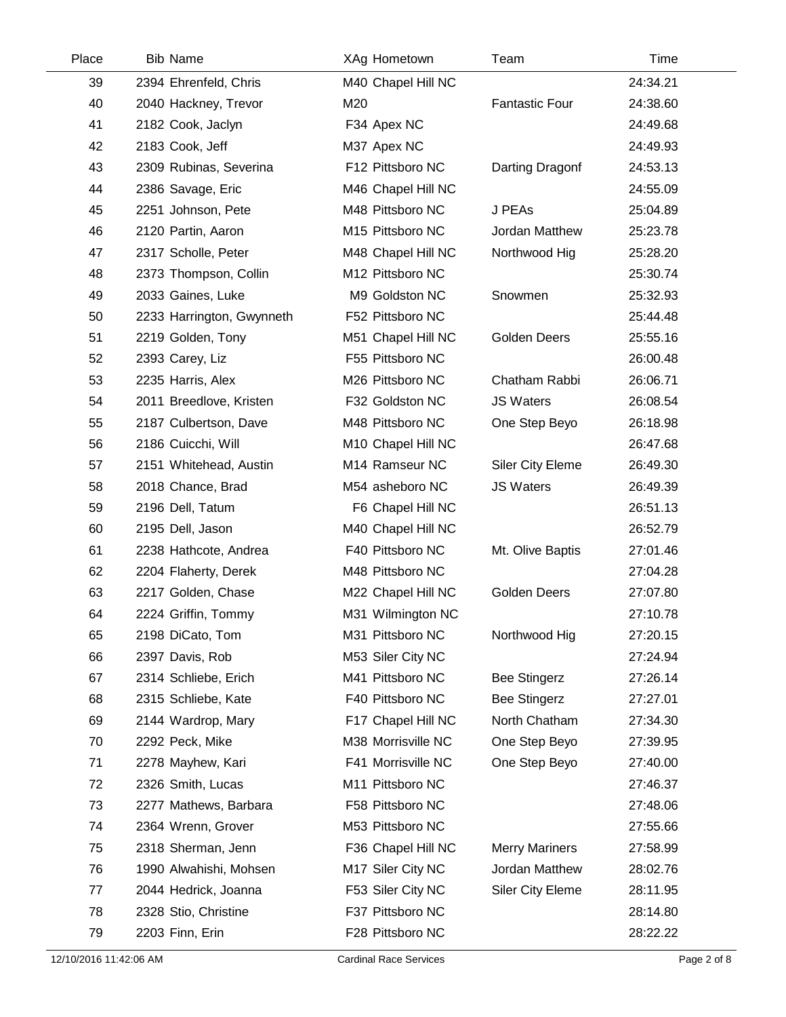| Place | <b>Bib Name</b>           | XAg Hometown       | Team                    | Time     |  |
|-------|---------------------------|--------------------|-------------------------|----------|--|
| 39    | 2394 Ehrenfeld, Chris     | M40 Chapel Hill NC |                         | 24:34.21 |  |
| 40    | 2040 Hackney, Trevor      | M20                | <b>Fantastic Four</b>   | 24:38.60 |  |
| 41    | 2182 Cook, Jaclyn         | F34 Apex NC        |                         | 24:49.68 |  |
| 42    | 2183 Cook, Jeff           | M37 Apex NC        |                         | 24:49.93 |  |
| 43    | 2309 Rubinas, Severina    | F12 Pittsboro NC   | Darting Dragonf         | 24:53.13 |  |
| 44    | 2386 Savage, Eric         | M46 Chapel Hill NC |                         | 24:55.09 |  |
| 45    | 2251 Johnson, Pete        | M48 Pittsboro NC   | J PEAs                  | 25:04.89 |  |
| 46    | 2120 Partin, Aaron        | M15 Pittsboro NC   | Jordan Matthew          | 25:23.78 |  |
| 47    | 2317 Scholle, Peter       | M48 Chapel Hill NC | Northwood Hig           | 25:28.20 |  |
| 48    | 2373 Thompson, Collin     | M12 Pittsboro NC   |                         | 25:30.74 |  |
| 49    | 2033 Gaines, Luke         | M9 Goldston NC     | Snowmen                 | 25:32.93 |  |
| 50    | 2233 Harrington, Gwynneth | F52 Pittsboro NC   |                         | 25:44.48 |  |
| 51    | 2219 Golden, Tony         | M51 Chapel Hill NC | Golden Deers            | 25:55.16 |  |
| 52    | 2393 Carey, Liz           | F55 Pittsboro NC   |                         | 26:00.48 |  |
| 53    | 2235 Harris, Alex         | M26 Pittsboro NC   | Chatham Rabbi           | 26:06.71 |  |
| 54    | 2011 Breedlove, Kristen   | F32 Goldston NC    | <b>JS Waters</b>        | 26:08.54 |  |
| 55    | 2187 Culbertson, Dave     | M48 Pittsboro NC   | One Step Beyo           | 26:18.98 |  |
| 56    | 2186 Cuicchi, Will        | M10 Chapel Hill NC |                         | 26:47.68 |  |
| 57    | 2151 Whitehead, Austin    | M14 Ramseur NC     | <b>Siler City Eleme</b> | 26:49.30 |  |
| 58    | 2018 Chance, Brad         | M54 asheboro NC    | <b>JS Waters</b>        | 26:49.39 |  |
| 59    | 2196 Dell, Tatum          | F6 Chapel Hill NC  |                         | 26:51.13 |  |
| 60    | 2195 Dell, Jason          | M40 Chapel Hill NC |                         | 26:52.79 |  |
| 61    | 2238 Hathcote, Andrea     | F40 Pittsboro NC   | Mt. Olive Baptis        | 27:01.46 |  |
| 62    | 2204 Flaherty, Derek      | M48 Pittsboro NC   |                         | 27:04.28 |  |
| 63    | 2217 Golden, Chase        | M22 Chapel Hill NC | <b>Golden Deers</b>     | 27:07.80 |  |
| 64    | 2224 Griffin, Tommy       | M31 Wilmington NC  |                         | 27:10.78 |  |
| 65    | 2198 DiCato, Tom          | M31 Pittsboro NC   | Northwood Hig           | 27:20.15 |  |
| 66    | 2397 Davis, Rob           | M53 Siler City NC  |                         | 27:24.94 |  |
| 67    | 2314 Schliebe, Erich      | M41 Pittsboro NC   | <b>Bee Stingerz</b>     | 27:26.14 |  |
| 68    | 2315 Schliebe, Kate       | F40 Pittsboro NC   | <b>Bee Stingerz</b>     | 27:27.01 |  |
| 69    | 2144 Wardrop, Mary        | F17 Chapel Hill NC | North Chatham           | 27:34.30 |  |
| 70    | 2292 Peck, Mike           | M38 Morrisville NC | One Step Beyo           | 27:39.95 |  |
| 71    | 2278 Mayhew, Kari         | F41 Morrisville NC | One Step Beyo           | 27:40.00 |  |
| 72    | 2326 Smith, Lucas         | M11 Pittsboro NC   |                         | 27:46.37 |  |
| 73    | 2277 Mathews, Barbara     | F58 Pittsboro NC   |                         | 27:48.06 |  |
| 74    | 2364 Wrenn, Grover        | M53 Pittsboro NC   |                         | 27:55.66 |  |
| 75    | 2318 Sherman, Jenn        | F36 Chapel Hill NC | <b>Merry Mariners</b>   | 27:58.99 |  |
| 76    | 1990 Alwahishi, Mohsen    | M17 Siler City NC  | Jordan Matthew          | 28:02.76 |  |
| 77    | 2044 Hedrick, Joanna      | F53 Siler City NC  | Siler City Eleme        | 28:11.95 |  |
| 78    | 2328 Stio, Christine      | F37 Pittsboro NC   |                         | 28:14.80 |  |
| 79    | 2203 Finn, Erin           | F28 Pittsboro NC   |                         | 28:22.22 |  |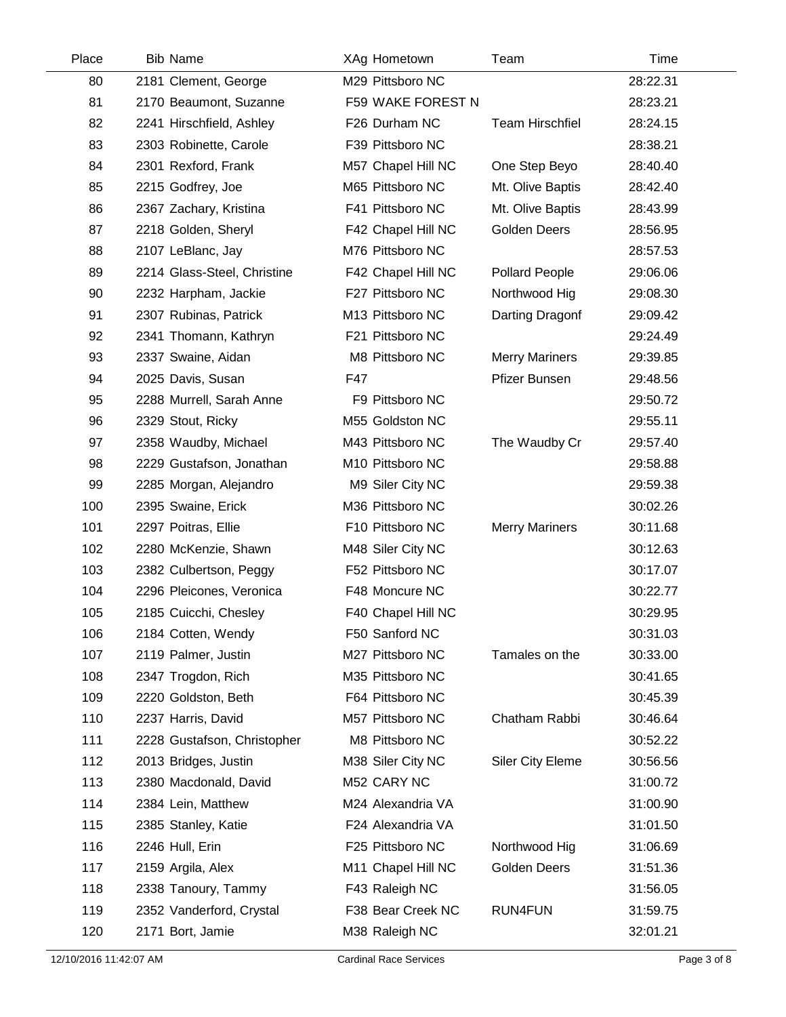| Place | <b>Bib Name</b>             | XAg Hometown       | Team                    | Time     |  |
|-------|-----------------------------|--------------------|-------------------------|----------|--|
| 80    | 2181 Clement, George        | M29 Pittsboro NC   |                         | 28:22.31 |  |
| 81    | 2170 Beaumont, Suzanne      | F59 WAKE FOREST N  |                         | 28:23.21 |  |
| 82    | 2241 Hirschfield, Ashley    | F26 Durham NC      | <b>Team Hirschfiel</b>  | 28:24.15 |  |
| 83    | 2303 Robinette, Carole      | F39 Pittsboro NC   |                         | 28:38.21 |  |
| 84    | 2301 Rexford, Frank         | M57 Chapel Hill NC | One Step Beyo           | 28:40.40 |  |
| 85    | 2215 Godfrey, Joe           | M65 Pittsboro NC   | Mt. Olive Baptis        | 28:42.40 |  |
| 86    | 2367 Zachary, Kristina      | F41 Pittsboro NC   | Mt. Olive Baptis        | 28:43.99 |  |
| 87    | 2218 Golden, Sheryl         | F42 Chapel Hill NC | <b>Golden Deers</b>     | 28:56.95 |  |
| 88    | 2107 LeBlanc, Jay           | M76 Pittsboro NC   |                         | 28:57.53 |  |
| 89    | 2214 Glass-Steel, Christine | F42 Chapel Hill NC | Pollard People          | 29:06.06 |  |
| 90    | 2232 Harpham, Jackie        | F27 Pittsboro NC   | Northwood Hig           | 29:08.30 |  |
| 91    | 2307 Rubinas, Patrick       | M13 Pittsboro NC   | Darting Dragonf         | 29:09.42 |  |
| 92    | 2341 Thomann, Kathryn       | F21 Pittsboro NC   |                         | 29:24.49 |  |
| 93    | 2337 Swaine, Aidan          | M8 Pittsboro NC    | <b>Merry Mariners</b>   | 29:39.85 |  |
| 94    | 2025 Davis, Susan           | F47                | Pfizer Bunsen           | 29:48.56 |  |
| 95    | 2288 Murrell, Sarah Anne    | F9 Pittsboro NC    |                         | 29:50.72 |  |
| 96    | 2329 Stout, Ricky           | M55 Goldston NC    |                         | 29:55.11 |  |
| 97    | 2358 Waudby, Michael        | M43 Pittsboro NC   | The Waudby Cr           | 29:57.40 |  |
| 98    | 2229 Gustafson, Jonathan    | M10 Pittsboro NC   |                         | 29:58.88 |  |
| 99    | 2285 Morgan, Alejandro      | M9 Siler City NC   |                         | 29:59.38 |  |
| 100   | 2395 Swaine, Erick          | M36 Pittsboro NC   |                         | 30:02.26 |  |
| 101   | 2297 Poitras, Ellie         | F10 Pittsboro NC   | <b>Merry Mariners</b>   | 30:11.68 |  |
| 102   | 2280 McKenzie, Shawn        | M48 Siler City NC  |                         | 30:12.63 |  |
| 103   | 2382 Culbertson, Peggy      | F52 Pittsboro NC   |                         | 30:17.07 |  |
| 104   | 2296 Pleicones, Veronica    | F48 Moncure NC     |                         | 30:22.77 |  |
| 105   | 2185 Cuicchi, Chesley       | F40 Chapel Hill NC |                         | 30:29.95 |  |
| 106   | 2184 Cotten, Wendy          | F50 Sanford NC     |                         | 30:31.03 |  |
| 107   | 2119 Palmer, Justin         | M27 Pittsboro NC   | Tamales on the          | 30:33.00 |  |
| 108   | 2347 Trogdon, Rich          | M35 Pittsboro NC   |                         | 30:41.65 |  |
| 109   | 2220 Goldston, Beth         | F64 Pittsboro NC   |                         | 30:45.39 |  |
| 110   | 2237 Harris, David          | M57 Pittsboro NC   | Chatham Rabbi           | 30:46.64 |  |
| 111   | 2228 Gustafson, Christopher | M8 Pittsboro NC    |                         | 30:52.22 |  |
| 112   | 2013 Bridges, Justin        | M38 Siler City NC  | <b>Siler City Eleme</b> | 30:56.56 |  |
| 113   | 2380 Macdonald, David       | M52 CARY NC        |                         | 31:00.72 |  |
| 114   | 2384 Lein, Matthew          | M24 Alexandria VA  |                         | 31:00.90 |  |
| 115   | 2385 Stanley, Katie         | F24 Alexandria VA  |                         | 31:01.50 |  |
| 116   | 2246 Hull, Erin             | F25 Pittsboro NC   | Northwood Hig           | 31:06.69 |  |
| 117   | 2159 Argila, Alex           | M11 Chapel Hill NC | Golden Deers            | 31:51.36 |  |
| 118   | 2338 Tanoury, Tammy         | F43 Raleigh NC     |                         | 31:56.05 |  |
| 119   | 2352 Vanderford, Crystal    | F38 Bear Creek NC  | RUN4FUN                 | 31:59.75 |  |
| 120   | 2171 Bort, Jamie            | M38 Raleigh NC     |                         | 32:01.21 |  |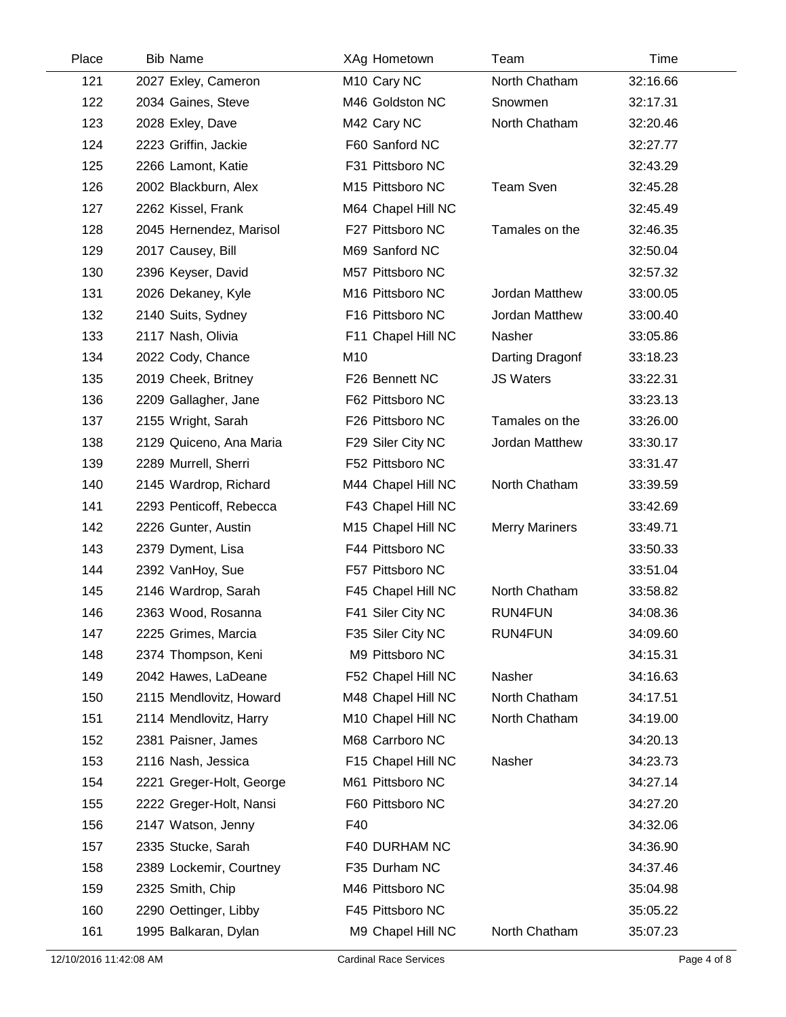| Place | <b>Bib Name</b>          | XAg Hometown       | Team                  | Time     |  |
|-------|--------------------------|--------------------|-----------------------|----------|--|
| 121   | 2027 Exley, Cameron      | M10 Cary NC        | North Chatham         | 32:16.66 |  |
| 122   | 2034 Gaines, Steve       | M46 Goldston NC    | Snowmen               | 32:17.31 |  |
| 123   | 2028 Exley, Dave         | M42 Cary NC        | North Chatham         | 32:20.46 |  |
| 124   | 2223 Griffin, Jackie     | F60 Sanford NC     |                       | 32:27.77 |  |
| 125   | 2266 Lamont, Katie       | F31 Pittsboro NC   |                       | 32:43.29 |  |
| 126   | 2002 Blackburn, Alex     | M15 Pittsboro NC   | <b>Team Sven</b>      | 32:45.28 |  |
| 127   | 2262 Kissel, Frank       | M64 Chapel Hill NC |                       | 32:45.49 |  |
| 128   | 2045 Hernendez, Marisol  | F27 Pittsboro NC   | Tamales on the        | 32:46.35 |  |
| 129   | 2017 Causey, Bill        | M69 Sanford NC     |                       | 32:50.04 |  |
| 130   | 2396 Keyser, David       | M57 Pittsboro NC   |                       | 32:57.32 |  |
| 131   | 2026 Dekaney, Kyle       | M16 Pittsboro NC   | Jordan Matthew        | 33:00.05 |  |
| 132   | 2140 Suits, Sydney       | F16 Pittsboro NC   | Jordan Matthew        | 33:00.40 |  |
| 133   | 2117 Nash, Olivia        | F11 Chapel Hill NC | Nasher                | 33:05.86 |  |
| 134   | 2022 Cody, Chance        | M10                | Darting Dragonf       | 33:18.23 |  |
| 135   | 2019 Cheek, Britney      | F26 Bennett NC     | <b>JS Waters</b>      | 33:22.31 |  |
| 136   | 2209 Gallagher, Jane     | F62 Pittsboro NC   |                       | 33:23.13 |  |
| 137   | 2155 Wright, Sarah       | F26 Pittsboro NC   | Tamales on the        | 33:26.00 |  |
| 138   | 2129 Quiceno, Ana Maria  | F29 Siler City NC  | Jordan Matthew        | 33:30.17 |  |
| 139   | 2289 Murrell, Sherri     | F52 Pittsboro NC   |                       | 33:31.47 |  |
| 140   | 2145 Wardrop, Richard    | M44 Chapel Hill NC | North Chatham         | 33:39.59 |  |
| 141   | 2293 Penticoff, Rebecca  | F43 Chapel Hill NC |                       | 33:42.69 |  |
| 142   | 2226 Gunter, Austin      | M15 Chapel Hill NC | <b>Merry Mariners</b> | 33:49.71 |  |
| 143   | 2379 Dyment, Lisa        | F44 Pittsboro NC   |                       | 33:50.33 |  |
| 144   | 2392 VanHoy, Sue         | F57 Pittsboro NC   |                       | 33:51.04 |  |
| 145   | 2146 Wardrop, Sarah      | F45 Chapel Hill NC | North Chatham         | 33:58.82 |  |
| 146   | 2363 Wood, Rosanna       | F41 Siler City NC  | <b>RUN4FUN</b>        | 34:08.36 |  |
| 147   | 2225 Grimes, Marcia      | F35 Siler City NC  | RUN4FUN               | 34:09.60 |  |
| 148   | 2374 Thompson, Keni      | M9 Pittsboro NC    |                       | 34:15.31 |  |
| 149   | 2042 Hawes, LaDeane      | F52 Chapel Hill NC | Nasher                | 34:16.63 |  |
| 150   | 2115 Mendlovitz, Howard  | M48 Chapel Hill NC | North Chatham         | 34:17.51 |  |
| 151   | 2114 Mendlovitz, Harry   | M10 Chapel Hill NC | North Chatham         | 34:19.00 |  |
| 152   | 2381 Paisner, James      | M68 Carrboro NC    |                       | 34:20.13 |  |
| 153   | 2116 Nash, Jessica       | F15 Chapel Hill NC | Nasher                | 34:23.73 |  |
| 154   | 2221 Greger-Holt, George | M61 Pittsboro NC   |                       | 34:27.14 |  |
| 155   | 2222 Greger-Holt, Nansi  | F60 Pittsboro NC   |                       | 34:27.20 |  |
| 156   | 2147 Watson, Jenny       | F40                |                       | 34:32.06 |  |
| 157   | 2335 Stucke, Sarah       | F40 DURHAM NC      |                       | 34:36.90 |  |
| 158   | 2389 Lockemir, Courtney  | F35 Durham NC      |                       | 34:37.46 |  |
| 159   | 2325 Smith, Chip         | M46 Pittsboro NC   |                       | 35:04.98 |  |
| 160   | 2290 Oettinger, Libby    | F45 Pittsboro NC   |                       | 35:05.22 |  |
| 161   | 1995 Balkaran, Dylan     | M9 Chapel Hill NC  | North Chatham         | 35:07.23 |  |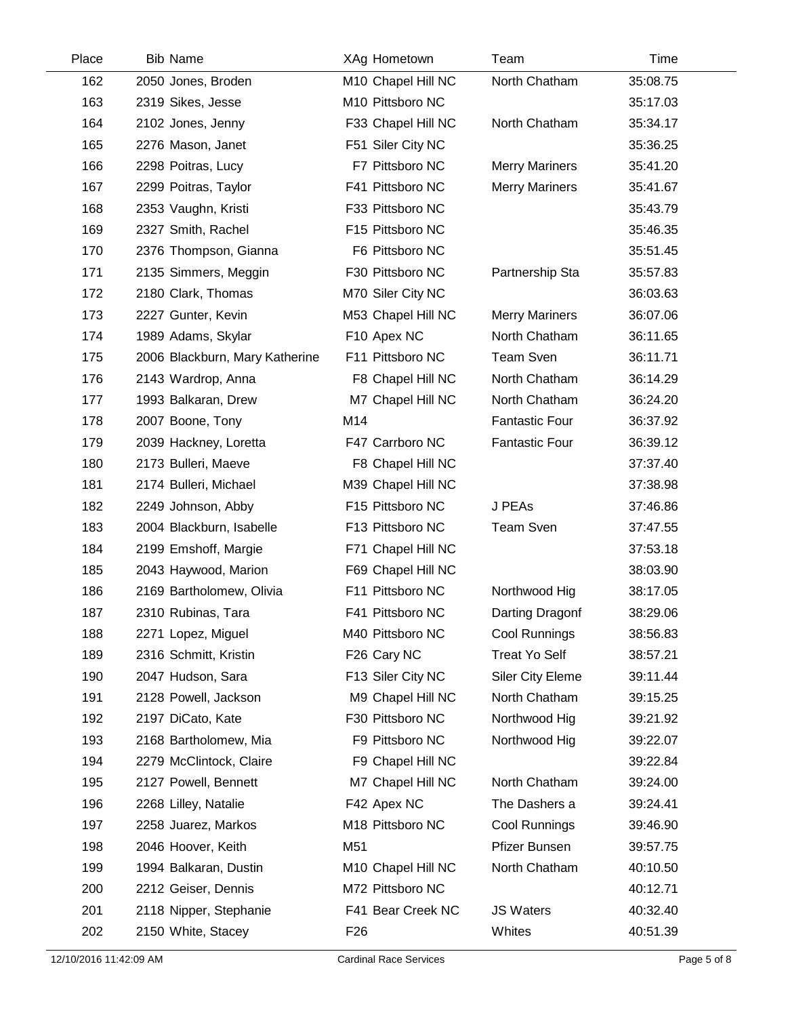| Place | <b>Bib Name</b>                | XAg Hometown       | Team                    | <b>Time</b> |
|-------|--------------------------------|--------------------|-------------------------|-------------|
| 162   | 2050 Jones, Broden             | M10 Chapel Hill NC | North Chatham           | 35:08.75    |
| 163   | 2319 Sikes, Jesse              | M10 Pittsboro NC   |                         | 35:17.03    |
| 164   | 2102 Jones, Jenny              | F33 Chapel Hill NC | North Chatham           | 35:34.17    |
| 165   | 2276 Mason, Janet              | F51 Siler City NC  |                         | 35:36.25    |
| 166   | 2298 Poitras, Lucy             | F7 Pittsboro NC    | <b>Merry Mariners</b>   | 35:41.20    |
| 167   | 2299 Poitras, Taylor           | F41 Pittsboro NC   | <b>Merry Mariners</b>   | 35:41.67    |
| 168   | 2353 Vaughn, Kristi            | F33 Pittsboro NC   |                         | 35:43.79    |
| 169   | 2327 Smith, Rachel             | F15 Pittsboro NC   |                         | 35:46.35    |
| 170   | 2376 Thompson, Gianna          | F6 Pittsboro NC    |                         | 35:51.45    |
| 171   | 2135 Simmers, Meggin           | F30 Pittsboro NC   | Partnership Sta         | 35:57.83    |
| 172   | 2180 Clark, Thomas             | M70 Siler City NC  |                         | 36:03.63    |
| 173   | 2227 Gunter, Kevin             | M53 Chapel Hill NC | <b>Merry Mariners</b>   | 36:07.06    |
| 174   | 1989 Adams, Skylar             | F10 Apex NC        | North Chatham           | 36:11.65    |
| 175   | 2006 Blackburn, Mary Katherine | F11 Pittsboro NC   | <b>Team Sven</b>        | 36:11.71    |
| 176   | 2143 Wardrop, Anna             | F8 Chapel Hill NC  | North Chatham           | 36:14.29    |
| 177   | 1993 Balkaran, Drew            | M7 Chapel Hill NC  | North Chatham           | 36:24.20    |
| 178   | 2007 Boone, Tony               | M14                | <b>Fantastic Four</b>   | 36:37.92    |
| 179   | 2039 Hackney, Loretta          | F47 Carrboro NC    | <b>Fantastic Four</b>   | 36:39.12    |
| 180   | 2173 Bulleri, Maeve            | F8 Chapel Hill NC  |                         | 37:37.40    |
| 181   | 2174 Bulleri, Michael          | M39 Chapel Hill NC |                         | 37:38.98    |
| 182   | 2249 Johnson, Abby             | F15 Pittsboro NC   | J PEAs                  | 37:46.86    |
| 183   | 2004 Blackburn, Isabelle       | F13 Pittsboro NC   | <b>Team Sven</b>        | 37:47.55    |
| 184   | 2199 Emshoff, Margie           | F71 Chapel Hill NC |                         | 37:53.18    |
| 185   | 2043 Haywood, Marion           | F69 Chapel Hill NC |                         | 38:03.90    |
| 186   | 2169 Bartholomew, Olivia       | F11 Pittsboro NC   | Northwood Hig           | 38:17.05    |
| 187   | 2310 Rubinas, Tara             | F41 Pittsboro NC   | Darting Dragonf         | 38:29.06    |
| 188   | 2271 Lopez, Miguel             | M40 Pittsboro NC   | Cool Runnings           | 38:56.83    |
| 189   | 2316 Schmitt, Kristin          | F26 Cary NC        | <b>Treat Yo Self</b>    | 38:57.21    |
| 190   | 2047 Hudson, Sara              | F13 Siler City NC  | <b>Siler City Eleme</b> | 39:11.44    |
| 191   | 2128 Powell, Jackson           | M9 Chapel Hill NC  | North Chatham           | 39:15.25    |
| 192   | 2197 DiCato, Kate              | F30 Pittsboro NC   | Northwood Hig           | 39:21.92    |
| 193   | 2168 Bartholomew, Mia          | F9 Pittsboro NC    | Northwood Hig           | 39:22.07    |
| 194   | 2279 McClintock, Claire        | F9 Chapel Hill NC  |                         | 39:22.84    |
| 195   | 2127 Powell, Bennett           | M7 Chapel Hill NC  | North Chatham           | 39:24.00    |
| 196   | 2268 Lilley, Natalie           | F42 Apex NC        | The Dashers a           | 39:24.41    |
| 197   | 2258 Juarez, Markos            | M18 Pittsboro NC   | Cool Runnings           | 39:46.90    |
| 198   | 2046 Hoover, Keith             | M51                | Pfizer Bunsen           | 39:57.75    |
| 199   | 1994 Balkaran, Dustin          | M10 Chapel Hill NC | North Chatham           | 40:10.50    |
| 200   | 2212 Geiser, Dennis            | M72 Pittsboro NC   |                         | 40:12.71    |
| 201   | 2118 Nipper, Stephanie         | F41 Bear Creek NC  | <b>JS Waters</b>        | 40:32.40    |
| 202   | 2150 White, Stacey             | F <sub>26</sub>    | Whites                  | 40:51.39    |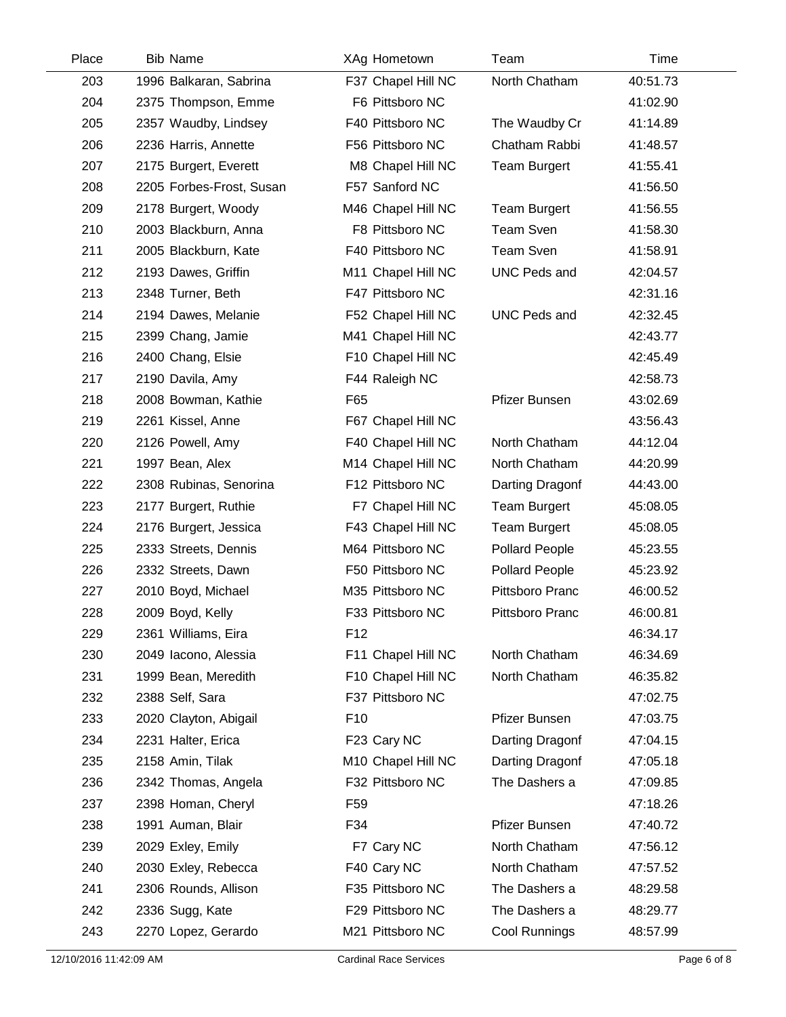| Place | <b>Bib Name</b>          | XAg Hometown       | Team                  | Time     |  |
|-------|--------------------------|--------------------|-----------------------|----------|--|
| 203   | 1996 Balkaran, Sabrina   | F37 Chapel Hill NC | North Chatham         | 40:51.73 |  |
| 204   | 2375 Thompson, Emme      | F6 Pittsboro NC    |                       | 41:02.90 |  |
| 205   | 2357 Waudby, Lindsey     | F40 Pittsboro NC   | The Waudby Cr         | 41:14.89 |  |
| 206   | 2236 Harris, Annette     | F56 Pittsboro NC   | Chatham Rabbi         | 41:48.57 |  |
| 207   | 2175 Burgert, Everett    | M8 Chapel Hill NC  | <b>Team Burgert</b>   | 41:55.41 |  |
| 208   | 2205 Forbes-Frost, Susan | F57 Sanford NC     |                       | 41:56.50 |  |
| 209   | 2178 Burgert, Woody      | M46 Chapel Hill NC | <b>Team Burgert</b>   | 41:56.55 |  |
| 210   | 2003 Blackburn, Anna     | F8 Pittsboro NC    | <b>Team Sven</b>      | 41:58.30 |  |
| 211   | 2005 Blackburn, Kate     | F40 Pittsboro NC   | <b>Team Sven</b>      | 41:58.91 |  |
| 212   | 2193 Dawes, Griffin      | M11 Chapel Hill NC | <b>UNC Peds and</b>   | 42:04.57 |  |
| 213   | 2348 Turner, Beth        | F47 Pittsboro NC   |                       | 42:31.16 |  |
| 214   | 2194 Dawes, Melanie      | F52 Chapel Hill NC | <b>UNC Peds and</b>   | 42:32.45 |  |
| 215   | 2399 Chang, Jamie        | M41 Chapel Hill NC |                       | 42:43.77 |  |
| 216   | 2400 Chang, Elsie        | F10 Chapel Hill NC |                       | 42:45.49 |  |
| 217   | 2190 Davila, Amy         | F44 Raleigh NC     |                       | 42:58.73 |  |
| 218   | 2008 Bowman, Kathie      | F65                | Pfizer Bunsen         | 43:02.69 |  |
| 219   | 2261 Kissel, Anne        | F67 Chapel Hill NC |                       | 43:56.43 |  |
| 220   | 2126 Powell, Amy         | F40 Chapel Hill NC | North Chatham         | 44:12.04 |  |
| 221   | 1997 Bean, Alex          | M14 Chapel Hill NC | North Chatham         | 44:20.99 |  |
| 222   | 2308 Rubinas, Senorina   | F12 Pittsboro NC   | Darting Dragonf       | 44:43.00 |  |
| 223   | 2177 Burgert, Ruthie     | F7 Chapel Hill NC  | <b>Team Burgert</b>   | 45:08.05 |  |
| 224   | 2176 Burgert, Jessica    | F43 Chapel Hill NC | <b>Team Burgert</b>   | 45:08.05 |  |
| 225   | 2333 Streets, Dennis     | M64 Pittsboro NC   | <b>Pollard People</b> | 45:23.55 |  |
| 226   | 2332 Streets, Dawn       | F50 Pittsboro NC   | <b>Pollard People</b> | 45:23.92 |  |
| 227   | 2010 Boyd, Michael       | M35 Pittsboro NC   | Pittsboro Pranc       | 46:00.52 |  |
| 228   | 2009 Boyd, Kelly         | F33 Pittsboro NC   | Pittsboro Pranc       | 46:00.81 |  |
| 229   | 2361 Williams, Eira      | F12                |                       | 46:34.17 |  |
| 230   | 2049 Iacono, Alessia     | F11 Chapel Hill NC | North Chatham         | 46:34.69 |  |
| 231   | 1999 Bean, Meredith      | F10 Chapel Hill NC | North Chatham         | 46:35.82 |  |
| 232   | 2388 Self, Sara          | F37 Pittsboro NC   |                       | 47:02.75 |  |
| 233   | 2020 Clayton, Abigail    | F <sub>10</sub>    | Pfizer Bunsen         | 47:03.75 |  |
| 234   | 2231 Halter, Erica       | F23 Cary NC        | Darting Dragonf       | 47:04.15 |  |
| 235   | 2158 Amin, Tilak         | M10 Chapel Hill NC | Darting Dragonf       | 47:05.18 |  |
| 236   | 2342 Thomas, Angela      | F32 Pittsboro NC   | The Dashers a         | 47:09.85 |  |
| 237   | 2398 Homan, Cheryl       | F <sub>59</sub>    |                       | 47:18.26 |  |
| 238   | 1991 Auman, Blair        | F34                | Pfizer Bunsen         | 47:40.72 |  |
| 239   | 2029 Exley, Emily        | F7 Cary NC         | North Chatham         | 47:56.12 |  |
| 240   | 2030 Exley, Rebecca      | F40 Cary NC        | North Chatham         | 47:57.52 |  |
| 241   | 2306 Rounds, Allison     | F35 Pittsboro NC   | The Dashers a         | 48:29.58 |  |
| 242   | 2336 Sugg, Kate          | F29 Pittsboro NC   | The Dashers a         | 48:29.77 |  |
| 243   | 2270 Lopez, Gerardo      | M21 Pittsboro NC   | Cool Runnings         | 48:57.99 |  |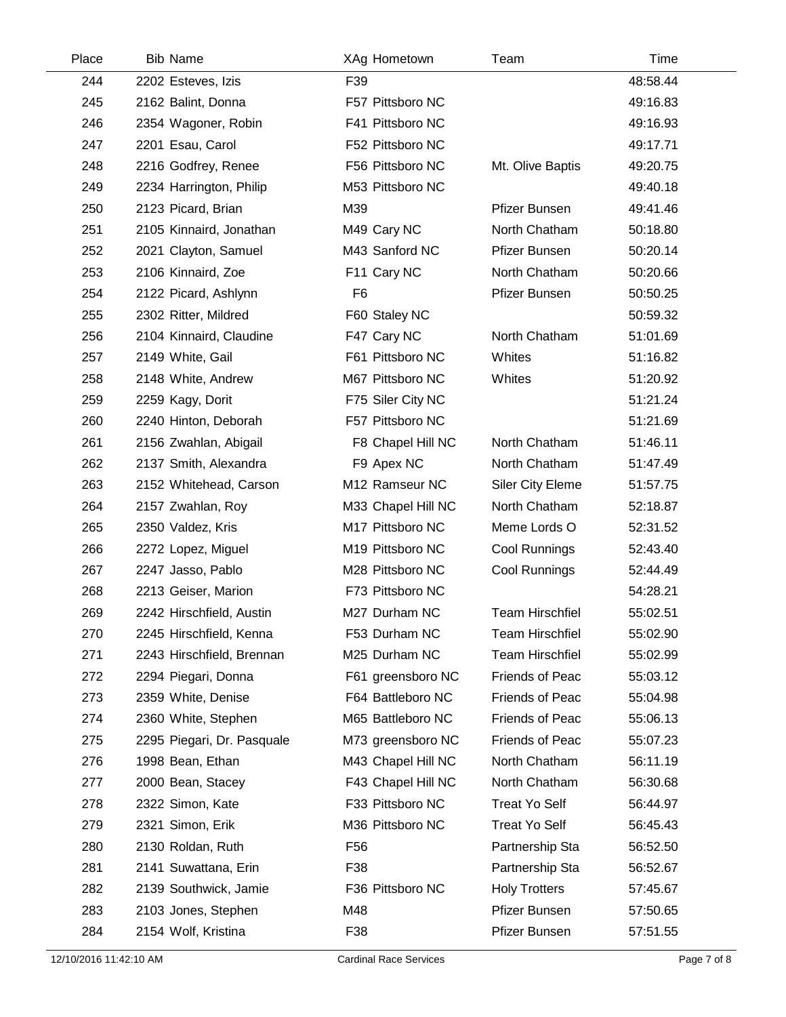| Place | <b>Bib Name</b>            | XAg Hometown       | Team                    | Time     |
|-------|----------------------------|--------------------|-------------------------|----------|
| 244   | 2202 Esteves, Izis         | F39                |                         | 48:58.44 |
| 245   | 2162 Balint, Donna         | F57 Pittsboro NC   |                         | 49:16.83 |
| 246   | 2354 Wagoner, Robin        | F41 Pittsboro NC   |                         | 49:16.93 |
| 247   | 2201 Esau, Carol           | F52 Pittsboro NC   |                         | 49:17.71 |
| 248   | 2216 Godfrey, Renee        | F56 Pittsboro NC   | Mt. Olive Baptis        | 49:20.75 |
| 249   | 2234 Harrington, Philip    | M53 Pittsboro NC   |                         | 49:40.18 |
| 250   | 2123 Picard, Brian         | M39                | <b>Pfizer Bunsen</b>    | 49:41.46 |
| 251   | 2105 Kinnaird, Jonathan    | M49 Cary NC        | North Chatham           | 50:18.80 |
| 252   | 2021 Clayton, Samuel       | M43 Sanford NC     | Pfizer Bunsen           | 50:20.14 |
| 253   | 2106 Kinnaird, Zoe         | F11 Cary NC        | North Chatham           | 50:20.66 |
| 254   | 2122 Picard, Ashlynn       | F <sub>6</sub>     | Pfizer Bunsen           | 50:50.25 |
| 255   | 2302 Ritter, Mildred       | F60 Staley NC      |                         | 50:59.32 |
| 256   | 2104 Kinnaird, Claudine    | F47 Cary NC        | North Chatham           | 51:01.69 |
| 257   | 2149 White, Gail           | F61 Pittsboro NC   | Whites                  | 51:16.82 |
| 258   | 2148 White, Andrew         | M67 Pittsboro NC   | Whites                  | 51:20.92 |
| 259   | 2259 Kagy, Dorit           | F75 Siler City NC  |                         | 51:21.24 |
| 260   | 2240 Hinton, Deborah       | F57 Pittsboro NC   |                         | 51:21.69 |
| 261   | 2156 Zwahlan, Abigail      | F8 Chapel Hill NC  | North Chatham           | 51:46.11 |
| 262   | 2137 Smith, Alexandra      | F9 Apex NC         | North Chatham           | 51:47.49 |
| 263   | 2152 Whitehead, Carson     | M12 Ramseur NC     | <b>Siler City Eleme</b> | 51:57.75 |
| 264   | 2157 Zwahlan, Roy          | M33 Chapel Hill NC | North Chatham           | 52:18.87 |
| 265   | 2350 Valdez, Kris          | M17 Pittsboro NC   | Meme Lords O            | 52:31.52 |
| 266   | 2272 Lopez, Miguel         | M19 Pittsboro NC   | Cool Runnings           | 52:43.40 |
| 267   | 2247 Jasso, Pablo          | M28 Pittsboro NC   | Cool Runnings           | 52:44.49 |
| 268   | 2213 Geiser, Marion        | F73 Pittsboro NC   |                         | 54:28.21 |
| 269   | 2242 Hirschfield, Austin   | M27 Durham NC      | <b>Team Hirschfiel</b>  | 55:02.51 |
| 270   | 2245 Hirschfield, Kenna    | F53 Durham NC      | <b>Team Hirschfiel</b>  | 55:02.90 |
| 271   | 2243 Hirschfield, Brennan  | M25 Durham NC      | <b>Team Hirschfiel</b>  | 55:02.99 |
| 272   | 2294 Piegari, Donna        | F61 greensboro NC  | Friends of Peac         | 55:03.12 |
| 273   | 2359 White, Denise         | F64 Battleboro NC  | Friends of Peac         | 55:04.98 |
| 274   | 2360 White, Stephen        | M65 Battleboro NC  | Friends of Peac         | 55:06.13 |
| 275   | 2295 Piegari, Dr. Pasquale | M73 greensboro NC  | Friends of Peac         | 55:07.23 |
| 276   | 1998 Bean, Ethan           | M43 Chapel Hill NC | North Chatham           | 56:11.19 |
| 277   | 2000 Bean, Stacey          | F43 Chapel Hill NC | North Chatham           | 56:30.68 |
| 278   | 2322 Simon, Kate           | F33 Pittsboro NC   | <b>Treat Yo Self</b>    | 56:44.97 |
| 279   | 2321 Simon, Erik           | M36 Pittsboro NC   | <b>Treat Yo Self</b>    | 56:45.43 |
| 280   | 2130 Roldan, Ruth          | F <sub>56</sub>    | Partnership Sta         | 56:52.50 |
| 281   | 2141 Suwattana, Erin       | F38                | Partnership Sta         | 56:52.67 |
| 282   | 2139 Southwick, Jamie      | F36 Pittsboro NC   | <b>Holy Trotters</b>    | 57:45.67 |
| 283   | 2103 Jones, Stephen        | M48                | Pfizer Bunsen           | 57:50.65 |
| 284   | 2154 Wolf, Kristina        | F38                | Pfizer Bunsen           | 57:51.55 |